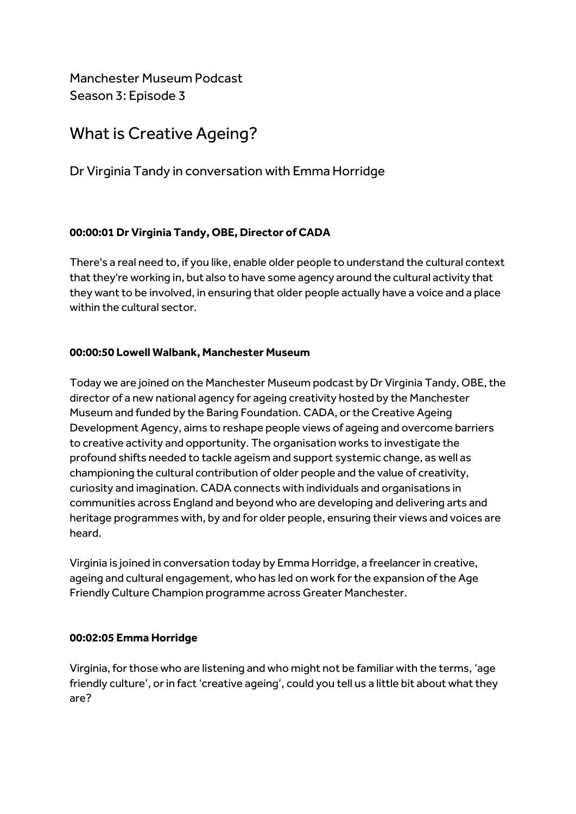Manchester Museum Podcast Season 3: Episode 3

# What is Creative Ageing?

Dr Virginia Tandy in conversation with Emma Horridge

# **00:00:01 Dr Virginia Tandy, OBE, Director of CADA**

There's a real need to, if you like, enable older people to understand the cultural context that they're working in, but also to have some agency around the cultural activity that they want to be involved, in ensuring that older people actually have a voice and a place within the cultural sector.

# **00:00:50 Lowell Walbank, Manchester Museum**

Today we are joined on the Manchester Museum podcast by Dr Virginia Tandy, OBE, the director of a new national agency for ageing creativity hosted by the Manchester Museum and funded by the Baring Foundation. CADA, or the Creative Ageing Development Agency, aims to reshape people views of ageing and overcome barriers to creative activity and opportunity. The organisation works to investigate the profound shifts needed to tackle ageism and support systemic change, as well as championing the cultural contribution of older people and the value of creativity, curiosity and imagination. CADA connects with individuals and organisations in communities across England and beyond who are developing and delivering arts and heritage programmes with, by and for older people, ensuring their views and voices are heard.

Virginia is joined in conversation today by Emma Horridge, a freelancer in creative, ageing and cultural engagement, who has led on work for the expansion of the Age Friendly Culture Champion programme across Greater Manchester.

# **00:02:05 Emma Horridge**

Virginia, for those who are listening and who might not be familiar with the terms, 'age friendly culture', or in fact 'creative ageing', could you tell us a little bit about what they are?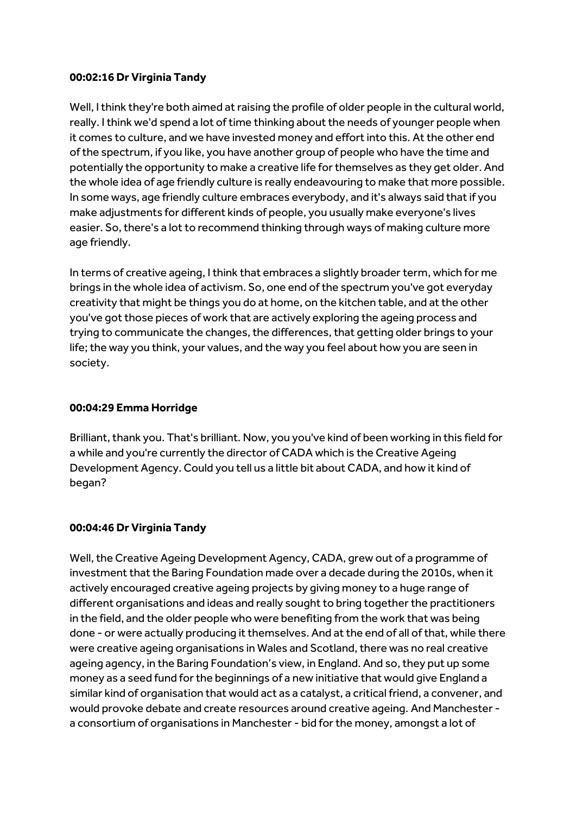## **00:02:16 Dr Virginia Tandy**

Well, I think they're both aimed at raising the profile of older people in the cultural world, really. I think we'd spend a lot of time thinking about the needs of younger people when it comes to culture, and we have invested money and effort into this. At the other end of the spectrum, if you like, you have another group of people who have the time and potentially the opportunity to make a creative life for themselves as they get older. And the whole idea of age friendly culture is really endeavouring to make that more possible. In some ways, age friendly culture embraces everybody, and it's always said that if you make adjustments for different kinds of people, you usually make everyone's lives easier. So, there's a lot to recommend thinking through ways of making culture more age friendly.

In terms of creative ageing, I think that embraces a slightly broader term, which for me brings in the whole idea of activism. So, one end of the spectrum you've got everyday creativity that might be things you do at home, on the kitchen table, and at the other you've got those pieces of work that are actively exploring the ageing process and trying to communicate the changes, the differences, that getting older brings to your life; the way you think, your values, and the way you feel about how you are seen in society.

## **00:04:29 Emma Horridge**

Brilliant, thank you. That's brilliant. Now, you you've kind of been working in this field for a while and you're currently the director of CADA which is the Creative Ageing Development Agency. Could you tell us a little bit about CADA, and how it kind of began?

# **00:04:46 Dr Virginia Tandy**

Well, the Creative Ageing Development Agency, CADA, grew out of a programme of investment that the Baring Foundation made over a decade during the 2010s, when it actively encouraged creative ageing projects by giving money to a huge range of different organisations and ideas and really sought to bring together the practitioners in the field, and the older people who were benefiting from the work that was being done - or were actually producing it themselves. And at the end of all of that, while there were creative ageing organisations in Wales and Scotland, there was no real creative ageing agency, in the Baring Foundation's view, in England. And so, they put up some money as a seed fund for the beginnings of a new initiative that would give England a similar kind of organisation that would act as a catalyst, a critical friend, a convener, and would provoke debate and create resources around creative ageing. And Manchester a consortium of organisations in Manchester - bid for the money, amongst a lot of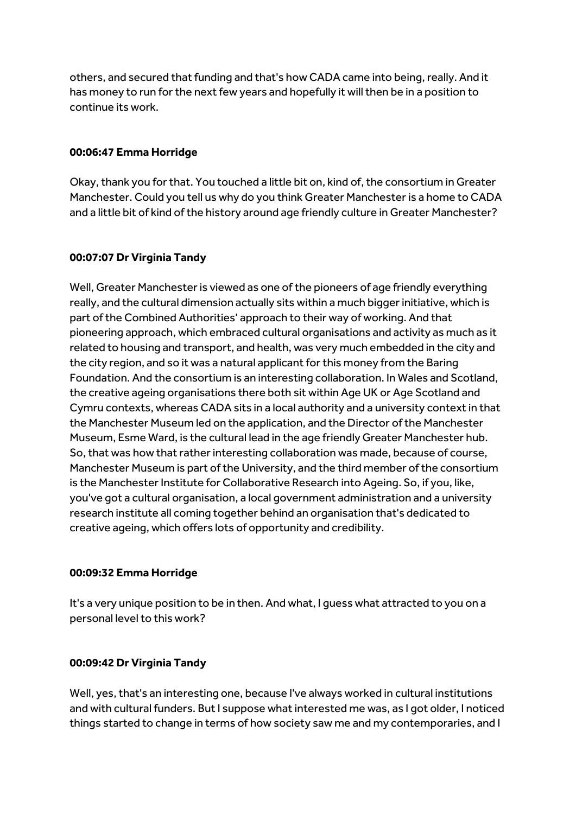others, and secured that funding and that's how CADA came into being, really. And it has money to run for the next few years and hopefully it will then be in a position to continue its work.

#### **00:06:47 Emma Horridge**

Okay, thank you for that. You touched a little bit on, kind of, the consortium in Greater Manchester. Could you tell us why do you think Greater Manchester is a home to CADA and a little bit of kind of the history around age friendly culture in Greater Manchester?

### **00:07:07 Dr Virginia Tandy**

Well, Greater Manchester is viewed as one of the pioneers of age friendly everything really, and the cultural dimension actually sits within a much bigger initiative, which is part of the Combined Authorities' approach to their way of working. And that pioneering approach, which embraced cultural organisations and activity as much as it related to housing and transport, and health, was very much embedded in the city and the city region, and so it was a natural applicant for this money from the Baring Foundation. And the consortium is an interesting collaboration. In Wales and Scotland, the creative ageing organisations there both sit within Age UK or Age Scotland and Cymru contexts, whereas CADA sits in a local authority and a university context in that the Manchester Museum led on the application, and the Director of the Manchester Museum, Esme Ward, is the cultural lead in the age friendly Greater Manchester hub. So, that was how that rather interesting collaboration was made, because of course, Manchester Museum is part of the University, and the third member of the consortium is the Manchester Institute for Collaborative Research into Ageing. So, if you, like, you've got a cultural organisation, a local government administration and a university research institute all coming together behind an organisation that's dedicated to creative ageing, which offers lots of opportunity and credibility.

#### **00:09:32 Emma Horridge**

It's a very unique position to be in then. And what, I guess what attracted to you on a personal level to this work?

### **00:09:42 Dr Virginia Tandy**

Well, yes, that's an interesting one, because I've always worked in cultural institutions and with cultural funders. But I suppose what interested me was, as I got older, I noticed things started to change in terms of how society saw me and my contemporaries, and I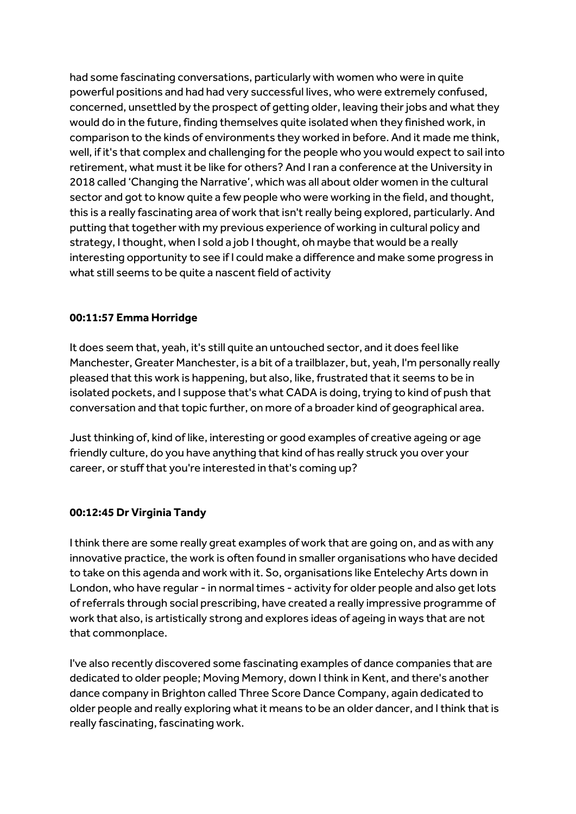had some fascinating conversations, particularly with women who were in quite powerful positions and had had very successful lives, who were extremely confused, concerned, unsettled by the prospect of getting older, leaving their jobs and what they would do in the future, finding themselves quite isolated when they finished work, in comparison to the kinds of environments they worked in before. And it made me think, well, if it's that complex and challenging for the people who you would expect to sail into retirement, what must it be like for others? And I ran a conference at the University in 2018 called 'Changing the Narrative', which was all about older women in the cultural sector and got to know quite a few people who were working in the field, and thought, this is a really fascinating area of work that isn't really being explored, particularly. And putting that together with my previous experience of working in cultural policy and strategy, I thought, when I sold a job I thought, oh maybe that would be a really interesting opportunity to see if I could make a difference and make some progress in what still seems to be quite a nascent field of activity

### **00:11:57 Emma Horridge**

It does seem that, yeah, it's still quite an untouched sector, and it does feel like Manchester, Greater Manchester, is a bit of a trailblazer, but, yeah, I'm personally really pleased that this work is happening, but also, like, frustrated that it seems to be in isolated pockets, and I suppose that's what CADA is doing, trying to kind of push that conversation and that topic further, on more of a broader kind of geographical area.

Just thinking of, kind of like, interesting or good examples of creative ageing or age friendly culture, do you have anything that kind of has really struck you over your career, or stuff that you're interested in that's coming up?

# **00:12:45 Dr Virginia Tandy**

I think there are some really great examples of work that are going on, and as with any innovative practice, the work is often found in smaller organisations who have decided to take on this agenda and work with it. So, organisations like Entelechy Arts down in London, who have regular - in normal times - activity for older people and also get lots of referrals through social prescribing, have created a really impressive programme of work that also, is artistically strong and explores ideas of ageing in ways that are not that commonplace.

I've also recently discovered some fascinating examples of dance companies that are dedicated to older people; Moving Memory, down I think in Kent, and there's another dance company in Brighton called Three Score Dance Company, again dedicated to older people and really exploring what it means to be an older dancer, and I think that is really fascinating, fascinating work.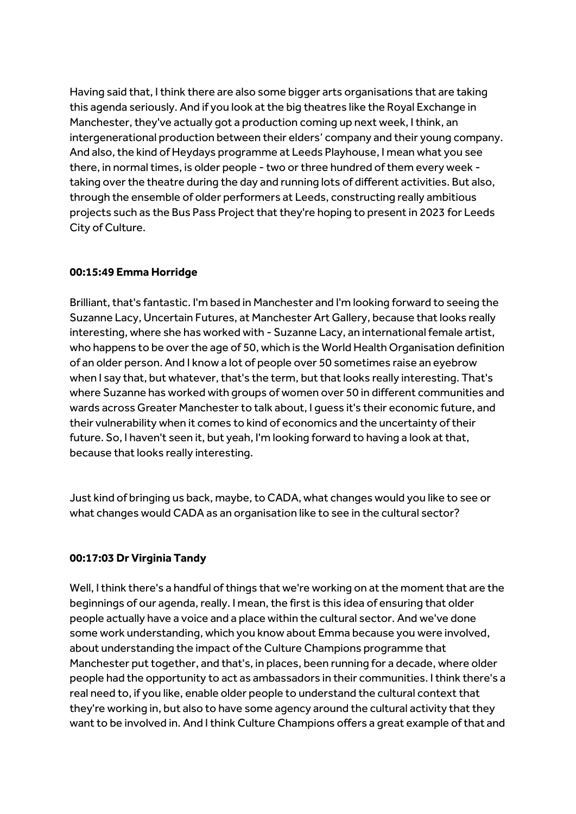Having said that, I think there are also some bigger arts organisations that are taking this agenda seriously. And if you look at the big theatres like the Royal Exchange in Manchester, they've actually got a production coming up next week, I think, an intergenerational production between their elders' company and their young company. And also, the kind of Heydays programme at Leeds Playhouse, I mean what you see there, in normal times, is older people - two or three hundred of them every week taking over the theatre during the day and running lots of different activities. But also, through the ensemble of older performers at Leeds, constructing really ambitious projects such as the Bus Pass Project that they're hoping to present in 2023 for Leeds City of Culture.

## **00:15:49 Emma Horridge**

Brilliant, that's fantastic. I'm based in Manchester and I'm looking forward to seeing the Suzanne Lacy, Uncertain Futures, at Manchester Art Gallery, because that looks really interesting, where she has worked with - Suzanne Lacy, an international female artist, who happens to be over the age of 50, which is the World Health Organisation definition of an older person. And I know a lot of people over 50 sometimes raise an eyebrow when I say that, but whatever, that's the term, but that looks really interesting. That's where Suzanne has worked with groups of women over 50 in different communities and wards across Greater Manchester to talk about, I guess it's their economic future, and their vulnerability when it comes to kind of economics and the uncertainty of their future. So, I haven't seen it, but yeah, I'm looking forward to having a look at that, because that looks really interesting.

Just kind of bringing us back, maybe, to CADA, what changes would you like to see or what changes would CADA as an organisation like to see in the cultural sector?

### **00:17:03 Dr Virginia Tandy**

Well, I think there's a handful of things that we're working on at the moment that are the beginnings of our agenda, really. I mean, the first is this idea of ensuring that older people actually have a voice and a place within the cultural sector. And we've done some work understanding, which you know about Emma because you were involved, about understanding the impact of the Culture Champions programme that Manchester put together, and that's, in places, been running for a decade, where older people had the opportunity to act as ambassadors in their communities. I think there's a real need to, if you like, enable older people to understand the cultural context that they're working in, but also to have some agency around the cultural activity that they want to be involved in. And I think Culture Champions offers a great example of that and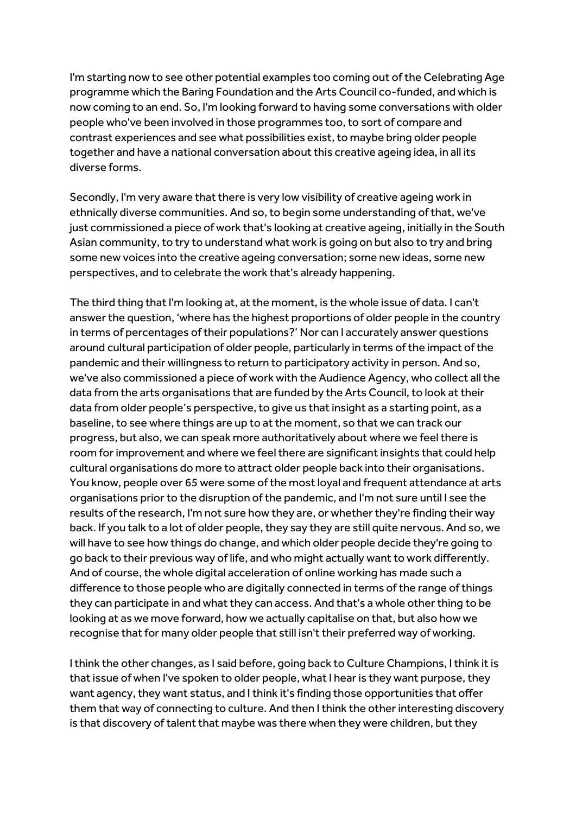I'm starting now to see other potential examples too coming out of the Celebrating Age programme which the Baring Foundation and the Arts Council co-funded, and which is now coming to an end. So, I'm looking forward to having some conversations with older people who've been involved in those programmes too, to sort of compare and contrast experiences and see what possibilities exist, to maybe bring older people together and have a national conversation about this creative ageing idea, in all its diverse forms.

Secondly, I'm very aware that there is very low visibility of creative ageing work in ethnically diverse communities. And so,to begin some understanding of that, we've just commissioned a piece of work that's looking at creative ageing, initially in the South Asian community, to try to understand what work is going on but also to try and bring some new voices into the creative ageing conversation; some new ideas, some new perspectives, and to celebrate the work that's already happening.

The third thing that I'm looking at, at the moment, is the whole issue of data. I can't answer the question, 'where has the highest proportions of older people in the country in terms of percentages of their populations?' Nor can I accurately answer questions around cultural participation of older people, particularly in terms of the impact of the pandemic and their willingness to return to participatory activity in person. And so, we've also commissioned a piece of work with the Audience Agency, who collect all the data from the arts organisations that are funded by the Arts Council, to look at their data from older people's perspective, to give us that insight as a starting point, as a baseline, to see where things are up to at the moment, so that we can track our progress, but also, we can speak more authoritatively about where we feel there is room for improvement and where we feel there are significant insights that could help cultural organisations do more to attract older people back into their organisations. You know, people over 65 were some of the most loyal and frequent attendance at arts organisations prior to the disruption of the pandemic, and I'm not sure until I see the results of the research, I'm not sure how they are, or whether they're finding their way back. If you talk to a lot of older people, they say they are still quite nervous. And so, we will have to see how things do change, and which older people decide they're going to go back to their previous way of life, and who might actually want to work differently. And of course, the whole digital acceleration of online working has made such a difference to those people who are digitally connected in terms of the range of things they can participate in and what they can access. And that's a whole other thing to be looking at as we move forward, how we actually capitalise on that, but also how we recognise that for many older people that still isn't their preferred way of working.

I think the other changes, as I said before, going back to Culture Champions, I think it is that issue of when I've spoken to older people, what I hear is they want purpose, they want agency, they want status, and I think it's finding those opportunities that offer them that way of connecting to culture. And then I think the other interesting discovery is that discovery of talent that maybe was there when they were children, but they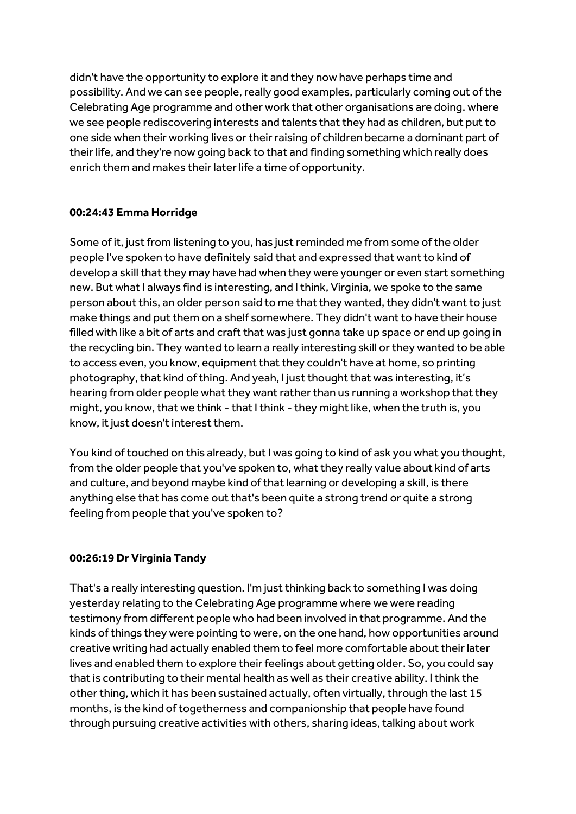didn't have the opportunity to explore it and they now have perhaps time and possibility. And we can see people, really good examples, particularly coming out of the Celebrating Age programme and other work that other organisations are doing. where we see people rediscovering interests and talents that they had as children, but put to one side when their working lives or their raising of children became a dominant part of their life, and they're now going back to that and finding something which really does enrich them and makes their later life a time of opportunity.

### **00:24:43 Emma Horridge**

Some of it, just from listening to you, has just reminded me from some of the older people I've spoken to have definitely said that and expressed that want to kind of develop a skill that they may have had when they were younger or even start something new. But what I always find is interesting, and I think, Virginia, we spoke to the same person about this, an older person said to me that they wanted, they didn't want to just make things and put them on a shelf somewhere. They didn't want to have their house filled with like a bit of arts and craft that was just gonna take up space or end up going in the recycling bin. They wanted to learn a really interesting skill or they wanted to be able to access even, you know, equipment that they couldn't have at home, so printing photography, that kind of thing. And yeah, I just thought that was interesting, it's hearing from older people what they want rather than us running a workshop that they might, you know, that we think - that I think - they might like, when the truth is, you know, it just doesn't interest them.

You kind of touched on this already, but I was going to kind of ask you what you thought, from the older people that you've spoken to, what they really value about kind of arts and culture, and beyond maybe kind of that learning or developing a skill, is there anything else that has come out that's been quite a strong trend or quite a strong feeling from people that you've spoken to?

### **00:26:19 Dr Virginia Tandy**

That's a really interesting question. I'm just thinking back to something I was doing yesterday relating to the Celebrating Age programme where we were reading testimony from different people who had been involved in that programme. And the kinds of things they were pointing to were, on the one hand, how opportunities around creative writing had actually enabled them to feel more comfortable about their later lives and enabled them to explore their feelings about getting older. So, you could say that is contributing to their mental health as well as their creative ability. I think the other thing, which it has been sustained actually, often virtually, through the last 15 months, is the kind of togetherness and companionship that people have found through pursuing creative activities with others, sharing ideas, talking about work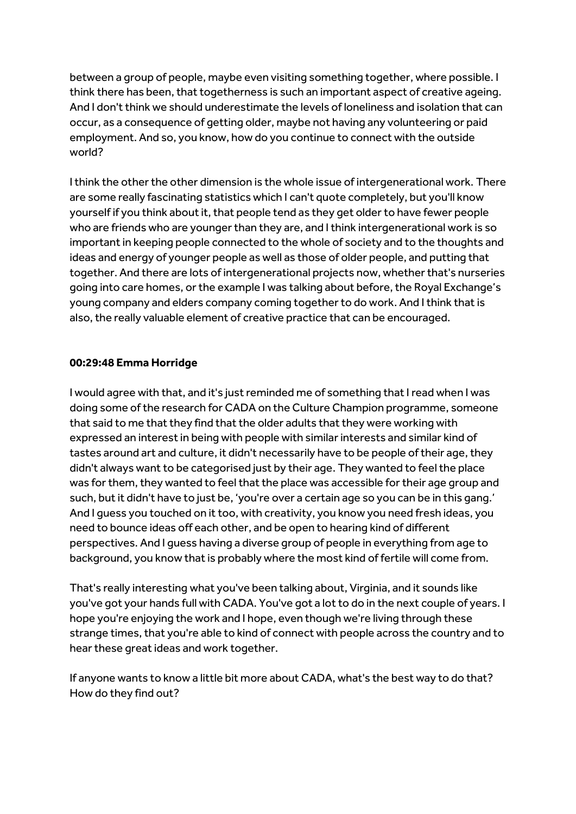between a group of people, maybe even visiting something together, where possible. I think there has been, that togetherness is such an important aspect of creative ageing. And I don't think we should underestimate the levels of loneliness and isolation that can occur, as a consequence of getting older, maybe not having any volunteering or paid employment. And so, you know, how do you continue to connect with the outside world?

I think the other the other dimension is the whole issue of intergenerational work. There are some really fascinating statistics which I can't quote completely, but you'll know yourself if you think about it, that people tend as they get older to have fewer people who are friends who are younger than they are, and I think intergenerational work is so important in keeping people connected to the whole of society and to the thoughts and ideas and energy of younger people as well as those of older people, and putting that together. And there are lots of intergenerational projects now, whether that's nurseries going into care homes, or the example I was talking about before, the Royal Exchange's young company and elders company coming together to do work. And I think that is also, the really valuable element of creative practice that can be encouraged.

#### **00:29:48 Emma Horridge**

I would agree with that, and it's just reminded me of something that I read when I was doing some of the research for CADA on the Culture Champion programme, someone that said to me that they find that the older adults that they were working with expressed an interest in being with people with similar interests and similar kind of tastes around art and culture, it didn't necessarily have to be people of their age, they didn't always want to be categorised just by their age. They wanted to feel the place was for them, they wanted to feel that the place was accessible for their age group and such, but it didn't have to just be, 'you're over a certain age so you can be in this gang.' And I guess you touched on it too, with creativity, you know you need fresh ideas, you need to bounce ideas off each other, and be open to hearing kind of different perspectives. And I guess having a diverse group of people in everything from age to background, you know that is probably where the most kind of fertile will come from.

That's really interesting what you've been talking about, Virginia, and it sounds like you've got your hands full with CADA. You've got a lot to do in the next couple of years. I hope you're enjoying the work and I hope, even though we're living through these strange times, that you're able to kind of connect with people across the country and to hear these great ideas and work together.

If anyone wants to know a little bit more about CADA, what's the best way to do that? How do they find out?